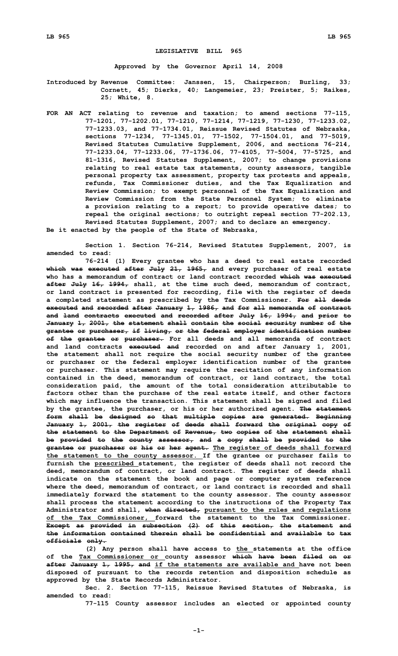## **LEGISLATIVE BILL 965**

**Approved by the Governor April 14, 2008**

**Introduced by Revenue Committee: Janssen, 15, Chairperson; Burling, 33; Cornett, 45; Dierks, 40; Langemeier, 23; Preister, 5; Raikes, 25; White, 8.**

**FOR AN ACT relating to revenue and taxation; to amend sections 77-115, 77-1201, 77-1202.01, 77-1210, 77-1214, 77-1219, 77-1230, 77-1233.02, 77-1233.03, and 77-1734.01, Reissue Revised Statutes of Nebraska, sections 77-1234, 77-1345.01, 77-1502, 77-1504.01, and 77-5019, Revised Statutes Cumulative Supplement, 2006, and sections 76-214, 77-1233.04, 77-1233.06, 77-1736.06, 77-4105, 77-5004, 77-5725, and 81-1316, Revised Statutes Supplement, 2007; to change provisions relating to real estate tax statements, county assessors, tangible personal property tax assessment, property tax protests and appeals, refunds, Tax Commissioner duties, and the Tax Equalization and Review Commission; to exempt personnel of the Tax Equalization and Review Commission from the State Personnel System; to eliminate <sup>a</sup> provision relating to <sup>a</sup> report; to provide operative dates; to repeal the original sections; to outright repeal section 77-202.13, Revised Statutes Supplement, 2007; and to declare an emergency.**

**Be it enacted by the people of the State of Nebraska,**

**Section 1. Section 76-214, Revised Statutes Supplement, 2007, is amended to read:**

**76-214 (1) Every grantee who has <sup>a</sup> deed to real estate recorded which was executed after July 21, 1965, and every purchaser of real estate who has a memorandum of contract or land contract recorded which was executed after July 16, 1994, shall, at the time such deed, memorandum of contract, or land contract is presented for recording, file with the register of deeds <sup>a</sup> completed statement as prescribed by the Tax Commissioner. For all deeds executed and recorded after January 1, 1986, and for all memoranda of contract and land contracts executed and recorded after July 16, 1994, and prior to January 1, 2001, the statement shall contain the social security number of the grantee or purchaser, if living, or the federal employer identification number of the grantee or purchaser. For all deeds and all memoranda of contract and land contracts executed and recorded on and after January 1, 2001, the statement shall not require the social security number of the grantee or purchaser or the federal employer identification number of the grantee or purchaser. This statement may require the recitation of any information contained in the deed, memorandum of contract, or land contract, the total consideration paid, the amount of the total consideration attributable to factors other than the purchase of the real estate itself, and other factors which may influence the transaction. This statement shall be signed and filed by the grantee, the purchaser, or his or her authorized agent. The statement form shall be designed so that multiple copies are generated. Beginning January 1, 2001, the register of deeds shall forward the original copy of the statement to the Department of Revenue, two copies of the statement shall be provided to the county assessor, and <sup>a</sup> copy shall be provided to the grantee or purchaser or his or her agent. The register of deeds shall forward the statement to the county assessor. If the grantee or purchaser fails to furnish the prescribed statement, the register of deeds shall not record the deed, memorandum of contract, or land contract. The register of deeds shall indicate on the statement the book and page or computer system reference where the deed, memorandum of contract, or land contract is recorded and shall immediately forward the statement to the county assessor. The county assessor shall process the statement according to the instructions of the Property Tax Administrator and shall, when directed, pursuant to the rules and regulations of the Tax Commissioner, forward the statement to the Tax Commissioner. Except as provided in subsection (2) of this section, the statement and the information contained therein shall be confidential and available to tax officials only.**

**(2) Any person shall have access to the statements at the office of the Tax Commissioner or county assessor which have been filed on or after January 1, 1995, and if the statements are available and have not been disposed of pursuant to the records retention and disposition schedule as approved by the State Records Administrator.**

**Sec. 2. Section 77-115, Reissue Revised Statutes of Nebraska, is amended to read:**

**77-115 County assessor includes an elected or appointed county**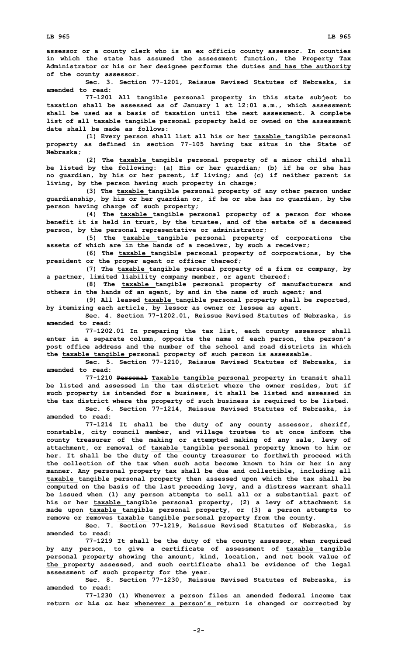**assessor or <sup>a</sup> county clerk who is an ex officio county assessor. In counties in which the state has assumed the assessment function, the Property Tax Administrator or his or her designee performs the duties and has the authority of the county assessor.**

**Sec. 3. Section 77-1201, Reissue Revised Statutes of Nebraska, is amended to read:**

**77-1201 All tangible personal property in this state subject to taxation shall be assessed as of January 1 at 12:01 a.m., which assessment shall be used as <sup>a</sup> basis of taxation until the next assessment. A complete list of all taxable tangible personal property held or owned on the assessment date shall be made as follows:**

**(1) Every person shall list all his or her taxable tangible personal property as defined in section 77-105 having tax situs in the State of Nebraska;**

**(2) The taxable tangible personal property of <sup>a</sup> minor child shall be listed by the following: (a) His or her guardian; (b) if he or she has no guardian, by his or her parent, if living; and (c) if neither parent is living, by the person having such property in charge;**

**(3) The taxable tangible personal property of any other person under guardianship, by his or her guardian or, if he or she has no guardian, by the person having charge of such property;**

**(4) The taxable tangible personal property of <sup>a</sup> person for whose benefit it is held in trust, by the trustee, and of the estate of <sup>a</sup> deceased person, by the personal representative or administrator;**

**(5) The taxable tangible personal property of corporations the assets of which are in the hands of <sup>a</sup> receiver, by such <sup>a</sup> receiver;**

**(6) The taxable tangible personal property of corporations, by the president or the proper agent or officer thereof;**

**(7) The taxable tangible personal property of <sup>a</sup> firm or company, by <sup>a</sup> partner, limited liability company member, or agent thereof;**

**(8) The taxable tangible personal property of manufacturers and others in the hands of an agent, by and in the name of such agent; and**

**(9) All leased taxable tangible personal property shall be reported, by itemizing each article, by lessor as owner or lessee as agent.**

**Sec. 4. Section 77-1202.01, Reissue Revised Statutes of Nebraska, is amended to read:**

**77-1202.01 In preparing the tax list, each county assessor shall enter in <sup>a</sup> separate column, opposite the name of each person, the person's post office address and the number of the school and road districts in which the taxable tangible personal property of such person is assessable.**

**Sec. 5. Section 77-1210, Reissue Revised Statutes of Nebraska, is amended to read:**

**77-1210 Personal Taxable tangible personal property in transit shall be listed and assessed in the tax district where the owner resides, but if such property is intended for <sup>a</sup> business, it shall be listed and assessed in the tax district where the property of such business is required to be listed. Sec. 6. Section 77-1214, Reissue Revised Statutes of Nebraska, is**

**amended to read:**

**77-1214 It shall be the duty of any county assessor, sheriff, constable, city council member, and village trustee to at once inform the county treasurer of the making or attempted making of any sale, levy of attachment, or removal of taxable tangible personal property known to him or her. It shall be the duty of the county treasurer to forthwith proceed with the collection of the tax when such acts become known to him or her in any manner. Any personal property tax shall be due and collectible, including all taxable tangible personal property then assessed upon which the tax shall be computed on the basis of the last preceding levy, and <sup>a</sup> distress warrant shall be issued when (1) any person attempts to sell all or <sup>a</sup> substantial part of his or her taxable tangible personal property, (2) <sup>a</sup> levy of attachment is made upon taxable tangible personal property, or (3) <sup>a</sup> person attempts to remove or removes taxable tangible personal property from the county.**

**Sec. 7. Section 77-1219, Reissue Revised Statutes of Nebraska, is amended to read:**

**77-1219 It shall be the duty of the county assessor, when required by any person, to give <sup>a</sup> certificate of assessment of taxable tangible personal property showing the amount, kind, location, and net book value of the property assessed, and such certificate shall be evidence of the legal assessment of such property for the year.**

**Sec. 8. Section 77-1230, Reissue Revised Statutes of Nebraska, is amended to read:**

**77-1230 (1) Whenever <sup>a</sup> person files an amended federal income tax return or his or her whenever <sup>a</sup> person's return is changed or corrected by**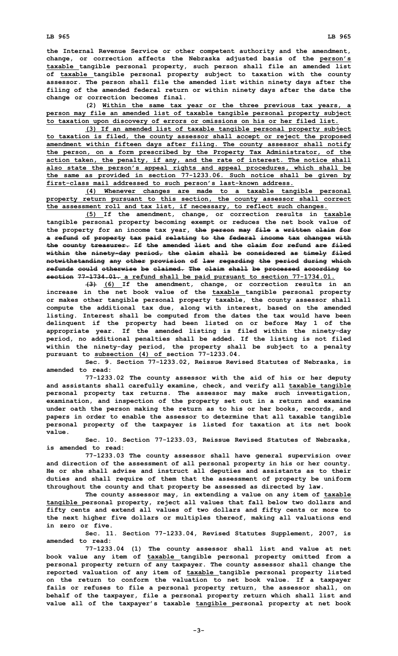**the Internal Revenue Service or other competent authority and the amendment, change, or correction affects the Nebraska adjusted basis of the person's taxable tangible personal property, such person shall file an amended list of taxable tangible personal property subject to taxation with the county assessor. The person shall file the amended list within ninety days after the filing of the amended federal return or within ninety days after the date the change or correction becomes final.**

**(2) Within the same tax year or the three previous tax years, <sup>a</sup> person may file an amended list of taxable tangible personal property subject to taxation upon discovery of errors or omissions on his or her filed list.**

**(3) If an amended list of taxable tangible personal property subject to taxation is filed, the county assessor shall accept or reject the proposed amendment within fifteen days after filing. The county assessor shall notify the person, on <sup>a</sup> form prescribed by the Property Tax Administrator, of the action taken, the penalty, if any, and the rate of interest. The notice shall also state the person's appeal rights and appeal procedures, which shall be the same as provided in section 77-1233.06. Such notice shall be given by first-class mail addressed to such person's last-known address.**

**(4) Whenever changes are made to <sup>a</sup> taxable tangible personal property return pursuant to this section, the county assessor shall correct the assessment roll and tax list, if necessary, to reflect such changes.**

**(5) If the amendment, change, or correction results in taxable tangible personal property becoming exempt or reduces the net book value of the property for an income tax year, the person may file <sup>a</sup> written claim for <sup>a</sup> refund of property tax paid relating to the federal income tax changes with the county treasurer. If the amended list and the claim for refund are filed within the ninety-day period, the claim shall be considered as timely filed notwithstanding any other provision of law regarding the period during which refunds could otherwise be claimed. The claim shall be processed according to section 77-1734.01. <sup>a</sup> refund shall be paid pursuant to section 77-1734.01.**

**(3) (6) If the amendment, change, or correction results in an increase in the net book value of the taxable tangible personal property or makes other tangible personal property taxable, the county assessor shall compute the additional tax due, along with interest, based on the amended listing. Interest shall be computed from the dates the tax would have been delinquent if the property had been listed on or before May 1 of the appropriate year. If the amended listing is filed within the ninety-day period, no additional penalties shall be added. If the listing is not filed within the ninety-day period, the property shall be subject to <sup>a</sup> penalty pursuant to subsection (4) of section 77-1233.04.**

**Sec. 9. Section 77-1233.02, Reissue Revised Statutes of Nebraska, is amended to read:**

**77-1233.02 The county assessor with the aid of his or her deputy and assistants shall carefully examine, check, and verify all taxable tangible personal property tax returns. The assessor may make such investigation, examination, and inspection of the property set out in <sup>a</sup> return and examine under oath the person making the return as to his or her books, records, and papers in order to enable the assessor to determine that all taxable tangible personal property of the taxpayer is listed for taxation at its net book value.**

**Sec. 10. Section 77-1233.03, Reissue Revised Statutes of Nebraska, is amended to read:**

**77-1233.03 The county assessor shall have general supervision over and direction of the assessment of all personal property in his or her county. He or she shall advise and instruct all deputies and assistants as to their duties and shall require of them that the assessment of property be uniform throughout the county and that property be assessed as directed by law.**

**The county assessor may, in extending <sup>a</sup> value on any item of taxable tangible personal property, reject all values that fall below two dollars and fifty cents and extend all values of two dollars and fifty cents or more to the next higher five dollars or multiples thereof, making all valuations end in zero or five.**

**Sec. 11. Section 77-1233.04, Revised Statutes Supplement, 2007, is amended to read:**

**77-1233.04 (1) The county assessor shall list and value at net book value any item of taxable tangible personal property omitted from <sup>a</sup> personal property return of any taxpayer. The county assessor shall change the reported valuation of any item of taxable tangible personal property listed on the return to conform the valuation to net book value. If <sup>a</sup> taxpayer fails or refuses to file <sup>a</sup> personal property return, the assessor shall, on behalf of the taxpayer, file <sup>a</sup> personal property return which shall list and value all of the taxpayer's taxable tangible personal property at net book**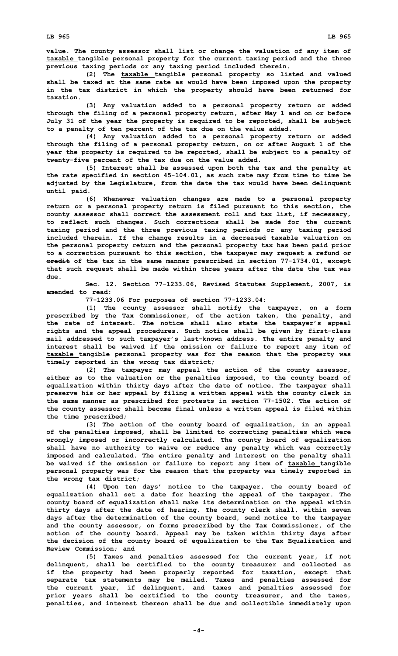**value. The county assessor shall list or change the valuation of any item of taxable tangible personal property for the current taxing period and the three previous taxing periods or any taxing period included therein.**

**(2) The taxable tangible personal property so listed and valued shall be taxed at the same rate as would have been imposed upon the property in the tax district in which the property should have been returned for taxation.**

**(3) Any valuation added to <sup>a</sup> personal property return or added through the filing of <sup>a</sup> personal property return, after May 1 and on or before July 31 of the year the property is required to be reported, shall be subject to <sup>a</sup> penalty of ten percent of the tax due on the value added.**

**(4) Any valuation added to <sup>a</sup> personal property return or added through the filing of <sup>a</sup> personal property return, on or after August 1 of the year the property is required to be reported, shall be subject to <sup>a</sup> penalty of twenty-five percent of the tax due on the value added.**

**(5) Interest shall be assessed upon both the tax and the penalty at the rate specified in section 45-104.01, as such rate may from time to time be adjusted by the Legislature, from the date the tax would have been delinquent until paid.**

**(6) Whenever valuation changes are made to <sup>a</sup> personal property return or <sup>a</sup> personal property return is filed pursuant to this section, the county assessor shall correct the assessment roll and tax list, if necessary, to reflect such changes. Such corrections shall be made for the current taxing period and the three previous taxing periods or any taxing period included therein. If the change results in <sup>a</sup> decreased taxable valuation on the personal property return and the personal property tax has been paid prior to <sup>a</sup> correction pursuant to this section, the taxpayer may request <sup>a</sup> refund or credit of the tax in the same manner prescribed in section 77-1734.01, except that such request shall be made within three years after the date the tax was due.**

**Sec. 12. Section 77-1233.06, Revised Statutes Supplement, 2007, is amended to read:**

**77-1233.06 For purposes of section 77-1233.04:**

**(1) The county assessor shall notify the taxpayer, on <sup>a</sup> form prescribed by the Tax Commissioner, of the action taken, the penalty, and the rate of interest. The notice shall also state the taxpayer's appeal rights and the appeal procedures. Such notice shall be given by first-class mail addressed to such taxpayer's last-known address. The entire penalty and interest shall be waived if the omission or failure to report any item of taxable tangible personal property was for the reason that the property was timely reported in the wrong tax district;**

**(2) The taxpayer may appeal the action of the county assessor, either as to the valuation or the penalties imposed, to the county board of equalization within thirty days after the date of notice. The taxpayer shall preserve his or her appeal by filing <sup>a</sup> written appeal with the county clerk in the same manner as prescribed for protests in section 77-1502. The action of the county assessor shall become final unless <sup>a</sup> written appeal is filed within the time prescribed;**

**(3) The action of the county board of equalization, in an appeal of the penalties imposed, shall be limited to correcting penalties which were wrongly imposed or incorrectly calculated. The county board of equalization shall have no authority to waive or reduce any penalty which was correctly imposed and calculated. The entire penalty and interest on the penalty shall be waived if the omission or failure to report any item of taxable tangible personal property was for the reason that the property was timely reported in the wrong tax district;**

**(4) Upon ten days' notice to the taxpayer, the county board of equalization shall set <sup>a</sup> date for hearing the appeal of the taxpayer. The county board of equalization shall make its determination on the appeal within thirty days after the date of hearing. The county clerk shall, within seven days after the determination of the county board, send notice to the taxpayer and the county assessor, on forms prescribed by the Tax Commissioner, of the action of the county board. Appeal may be taken within thirty days after the decision of the county board of equalization to the Tax Equalization and Review Commission; and**

**(5) Taxes and penalties assessed for the current year, if not delinquent, shall be certified to the county treasurer and collected as if the property had been properly reported for taxation, except that separate tax statements may be mailed. Taxes and penalties assessed for the current year, if delinquent, and taxes and penalties assessed for prior years shall be certified to the county treasurer, and the taxes, penalties, and interest thereon shall be due and collectible immediately upon**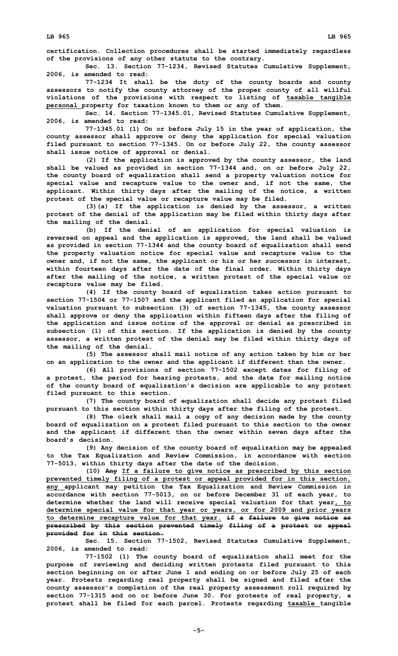**certification. Collection procedures shall be started immediately regardless of the provisions of any other statute to the contrary.**

**Sec. 13. Section 77-1234, Revised Statutes Cumulative Supplement, 2006, is amended to read:**

**77-1234 It shall be the duty of the county boards and county assessors to notify the county attorney of the proper county of all willful violations of the provisions with respect to listing of taxable tangible personal property for taxation known to them or any of them.**

**Sec. 14. Section 77-1345.01, Revised Statutes Cumulative Supplement, 2006, is amended to read:**

**77-1345.01 (1) On or before July 15 in the year of application, the county assessor shall approve or deny the application for special valuation filed pursuant to section 77-1345. On or before July 22, the county assessor shall issue notice of approval or denial.**

**(2) If the application is approved by the county assessor, the land shall be valued as provided in section 77-1344 and, on or before July 22, the county board of equalization shall send <sup>a</sup> property valuation notice for special value and recapture value to the owner and, if not the same, the applicant. Within thirty days after the mailing of the notice, <sup>a</sup> written protest of the special value or recapture value may be filed.**

**(3)(a) If the application is denied by the assessor, <sup>a</sup> written protest of the denial of the application may be filed within thirty days after the mailing of the denial.**

**(b) If the denial of an application for special valuation is reversed on appeal and the application is approved, the land shall be valued as provided in section 77-1344 and the county board of equalization shall send the property valuation notice for special value and recapture value to the owner and, if not the same, the applicant or his or her successor in interest, within fourteen days after the date of the final order. Within thirty days after the mailing of the notice, <sup>a</sup> written protest of the special value or recapture value may be filed.**

**(4) If the county board of equalization takes action pursuant to section 77-1504 or 77-1507 and the applicant filed an application for special valuation pursuant to subsection (3) of section 77-1345, the county assessor shall approve or deny the application within fifteen days after the filing of the application and issue notice of the approval or denial as prescribed in subsection (1) of this section. If the application is denied by the county assessor, <sup>a</sup> written protest of the denial may be filed within thirty days of the mailing of the denial.**

**(5) The assessor shall mail notice of any action taken by him or her on an application to the owner and the applicant if different than the owner.**

**(6) All provisions of section 77-1502 except dates for filing of <sup>a</sup> protest, the period for hearing protests, and the date for mailing notice of the county board of equalization's decision are applicable to any protest filed pursuant to this section.**

**(7) The county board of equalization shall decide any protest filed pursuant to this section within thirty days after the filing of the protest.**

**(8) The clerk shall mail <sup>a</sup> copy of any decision made by the county board of equalization on <sup>a</sup> protest filed pursuant to this section to the owner and the applicant if different than the owner within seven days after the board's decision.**

**(9) Any decision of the county board of equalization may be appealed to the Tax Equalization and Review Commission, in accordance with section 77-5013, within thirty days after the date of the decision.**

**(10) Any If <sup>a</sup> failure to give notice as prescribed by this section prevented timely filing of <sup>a</sup> protest or appeal provided for in this section, any applicant may petition the Tax Equalization and Review Commission in accordance with section 77-5013, on or before December 31 of each year, to determine whether the land will receive special valuation for that year, to determine special value for that year or years, or for 2009 and prior years to determine recapture value for that year. if <sup>a</sup> failure to give notice as prescribed by this section prevented timely filing of <sup>a</sup> protest or appeal provided for in this section.**

**Sec. 15. Section 77-1502, Revised Statutes Cumulative Supplement, 2006, is amended to read:**

**77-1502 (1) The county board of equalization shall meet for the purpose of reviewing and deciding written protests filed pursuant to this section beginning on or after June 1 and ending on or before July 25 of each year. Protests regarding real property shall be signed and filed after the county assessor's completion of the real property assessment roll required by section 77-1315 and on or before June 30. For protests of real property, <sup>a</sup> protest shall be filed for each parcel. Protests regarding taxable tangible**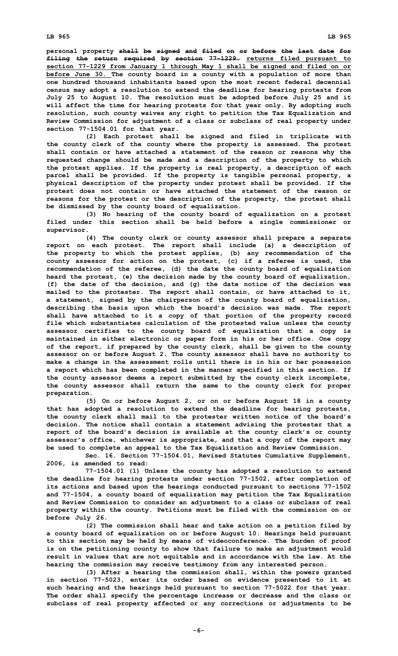**personal property shall be signed and filed on or before the last date for filing the return required by section 77-1229. returns filed pursuant to section 77-1229 from January 1 through May 1 shall be signed and filed on or before June 30. The county board in <sup>a</sup> county with <sup>a</sup> population of more than one hundred thousand inhabitants based upon the most recent federal decennial census may adopt <sup>a</sup> resolution to extend the deadline for hearing protests from July 25 to August 10. The resolution must be adopted before July 25 and it will affect the time for hearing protests for that year only. By adopting such resolution, such county waives any right to petition the Tax Equalization and Review Commission for adjustment of <sup>a</sup> class or subclass of real property under section 77-1504.01 for that year.**

**(2) Each protest shall be signed and filed in triplicate with the county clerk of the county where the property is assessed. The protest shall contain or have attached <sup>a</sup> statement of the reason or reasons why the requested change should be made and <sup>a</sup> description of the property to which the protest applies. If the property is real property, <sup>a</sup> description of each parcel shall be provided. If the property is tangible personal property, <sup>a</sup> physical description of the property under protest shall be provided. If the protest does not contain or have attached the statement of the reason or reasons for the protest or the description of the property, the protest shall be dismissed by the county board of equalization.**

**(3) No hearing of the county board of equalization on <sup>a</sup> protest filed under this section shall be held before <sup>a</sup> single commissioner or supervisor.**

**(4) The county clerk or county assessor shall prepare <sup>a</sup> separate report on each protest. The report shall include (a) <sup>a</sup> description of the property to which the protest applies, (b) any recommendation of the county assessor for action on the protest, (c) if <sup>a</sup> referee is used, the recommendation of the referee, (d) the date the county board of equalization heard the protest, (e) the decision made by the county board of equalization, (f) the date of the decision, and (g) the date notice of the decision was mailed to the protester. The report shall contain, or have attached to it, <sup>a</sup> statement, signed by the chairperson of the county board of equalization, describing the basis upon which the board's decision was made. The report shall have attached to it <sup>a</sup> copy of that portion of the property record file which substantiates calculation of the protested value unless the county assessor certifies to the county board of equalization that <sup>a</sup> copy is maintained in either electronic or paper form in his or her office. One copy of the report, if prepared by the county clerk, shall be given to the county assessor on or before August 2. The county assessor shall have no authority to make <sup>a</sup> change in the assessment rolls until there is in his or her possession <sup>a</sup> report which has been completed in the manner specified in this section. If the county assessor deems <sup>a</sup> report submitted by the county clerk incomplete, the county assessor shall return the same to the county clerk for proper preparation.**

**(5) On or before August 2, or on or before August 18 in <sup>a</sup> county that has adopted <sup>a</sup> resolution to extend the deadline for hearing protests, the county clerk shall mail to the protester written notice of the board's decision. The notice shall contain <sup>a</sup> statement advising the protester that <sup>a</sup> report of the board's decision is available at the county clerk's or county assessor's office, whichever is appropriate, and that <sup>a</sup> copy of the report may be used to complete an appeal to the Tax Equalization and Review Commission.**

**Sec. 16. Section 77-1504.01, Revised Statutes Cumulative Supplement, 2006, is amended to read:**

**77-1504.01 (1) Unless the county has adopted <sup>a</sup> resolution to extend the deadline for hearing protests under section 77-1502, after completion of its actions and based upon the hearings conducted pursuant to sections 77-1502 and 77-1504, <sup>a</sup> county board of equalization may petition the Tax Equalization and Review Commission to consider an adjustment to <sup>a</sup> class or subclass of real property within the county. Petitions must be filed with the commission on or before July 26.**

**(2) The commission shall hear and take action on <sup>a</sup> petition filed by <sup>a</sup> county board of equalization on or before August 10. Hearings held pursuant to this section may be held by means of videoconference. The burden of proof is on the petitioning county to show that failure to make an adjustment would result in values that are not equitable and in accordance with the law. At the hearing the commission may receive testimony from any interested person.**

**(3) After <sup>a</sup> hearing the commission shall, within the powers granted in section 77-5023, enter its order based on evidence presented to it at such hearing and the hearings held pursuant to section 77-5022 for that year. The order shall specify the percentage increase or decrease and the class or subclass of real property affected or any corrections or adjustments to be**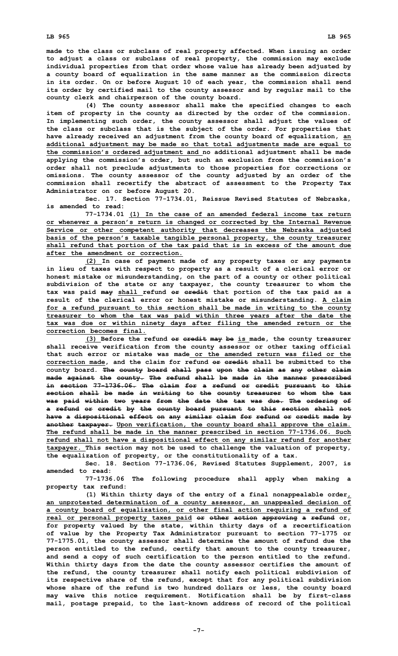**made to the class or subclass of real property affected. When issuing an order to adjust <sup>a</sup> class or subclass of real property, the commission may exclude individual properties from that order whose value has already been adjusted by <sup>a</sup> county board of equalization in the same manner as the commission directs in its order. On or before August 10 of each year, the commission shall send its order by certified mail to the county assessor and by regular mail to the county clerk and chairperson of the county board.**

**(4) The county assessor shall make the specified changes to each item of property in the county as directed by the order of the commission. In implementing such order, the county assessor shall adjust the values of the class or subclass that is the subject of the order. For properties that have already received an adjustment from the county board of equalization, an additional adjustment may be made so that total adjustments made are equal to the commission's ordered adjustment and no additional adjustment shall be made applying the commission's order, but such an exclusion from the commission's order shall not preclude adjustments to those properties for corrections or omissions. The county assessor of the county adjusted by an order of the commission shall recertify the abstract of assessment to the Property Tax Administrator on or before August 20.**

**Sec. 17. Section 77-1734.01, Reissue Revised Statutes of Nebraska, is amended to read:**

**77-1734.01 (1) In the case of an amended federal income tax return or whenever <sup>a</sup> person's return is changed or corrected by the Internal Revenue Service or other competent authority that decreases the Nebraska adjusted basis of the person's taxable tangible personal property, the county treasurer shall refund that portion of the tax paid that is in excess of the amount due after the amendment or correction.**

**(2) In case of payment made of any property taxes or any payments in lieu of taxes with respect to property as <sup>a</sup> result of <sup>a</sup> clerical error or honest mistake or misunderstanding, on the part of <sup>a</sup> county or other political subdivision of the state or any taxpayer, the county treasurer to whom the tax was paid may shall refund or credit that portion of the tax paid as <sup>a</sup> result of the clerical error or honest mistake or misunderstanding. A claim for <sup>a</sup> refund pursuant to this section shall be made in writing to the county treasurer to whom the tax was paid within three years after the date the tax was due or within ninety days after filing the amended return or the correction becomes final.**

**(3) Before the refund or credit may be is made, the county treasurer shall receive verification from the county assessor or other taxing official that such error or mistake was made or the amended return was filed or the correction made, and the claim for refund or credit shall be submitted to the county board. The county board shall pass upon the claim as any other claim made against the county. The refund shall be made in the manner prescribed in section 77-1736.06. The claim for <sup>a</sup> refund or credit pursuant to this section shall be made in writing to the county treasurer to whom the tax was paid within two years from the date the tax was due. The ordering of <sup>a</sup> refund or credit by the county board pursuant to this section shall not have <sup>a</sup> dispositional effect on any similar claim for refund or credit made by another taxpayer. Upon verification, the county board shall approve the claim. The refund shall be made in the manner prescribed in section 77-1736.06. Such refund shall not have <sup>a</sup> dispositional effect on any similar refund for another taxpayer. This section may not be used to challenge the valuation of property, the equalization of property, or the constitutionality of <sup>a</sup> tax.**

**Sec. 18. Section 77-1736.06, Revised Statutes Supplement, 2007, is amended to read:**

**77-1736.06 The following procedure shall apply when making <sup>a</sup> property tax refund:**

**(1) Within thirty days of the entry of <sup>a</sup> final nonappealable order, an unprotested determination of <sup>a</sup> county assessor, an unappealed decision of <sup>a</sup> county board of equalization, or other final action requiring <sup>a</sup> refund of real or personal property taxes paid or other action approving <sup>a</sup> refund or, for property valued by the state, within thirty days of <sup>a</sup> recertification of value by the Property Tax Administrator pursuant to section 77-1775 or 77-1775.01, the county assessor shall determine the amount of refund due the person entitled to the refund, certify that amount to the county treasurer, and send <sup>a</sup> copy of such certification to the person entitled to the refund. Within thirty days from the date the county assessor certifies the amount of the refund, the county treasurer shall notify each political subdivision of its respective share of the refund, except that for any political subdivision whose share of the refund is two hundred dollars or less, the county board may waive this notice requirement. Notification shall be by first-class mail, postage prepaid, to the last-known address of record of the political**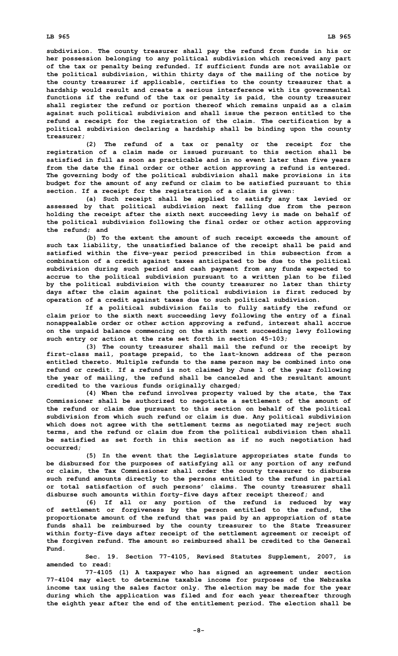**subdivision. The county treasurer shall pay the refund from funds in his or her possession belonging to any political subdivision which received any part of the tax or penalty being refunded. If sufficient funds are not available or the political subdivision, within thirty days of the mailing of the notice by the county treasurer if applicable, certifies to the county treasurer that <sup>a</sup> hardship would result and create <sup>a</sup> serious interference with its governmental functions if the refund of the tax or penalty is paid, the county treasurer shall register the refund or portion thereof which remains unpaid as <sup>a</sup> claim against such political subdivision and shall issue the person entitled to the refund <sup>a</sup> receipt for the registration of the claim. The certification by <sup>a</sup> political subdivision declaring <sup>a</sup> hardship shall be binding upon the county treasurer;**

**(2) The refund of <sup>a</sup> tax or penalty or the receipt for the registration of <sup>a</sup> claim made or issued pursuant to this section shall be satisfied in full as soon as practicable and in no event later than five years from the date the final order or other action approving <sup>a</sup> refund is entered. The governing body of the political subdivision shall make provisions in its budget for the amount of any refund or claim to be satisfied pursuant to this section. If <sup>a</sup> receipt for the registration of <sup>a</sup> claim is given:**

**(a) Such receipt shall be applied to satisfy any tax levied or assessed by that political subdivision next falling due from the person holding the receipt after the sixth next succeeding levy is made on behalf of the political subdivision following the final order or other action approving the refund; and**

**(b) To the extent the amount of such receipt exceeds the amount of such tax liability, the unsatisfied balance of the receipt shall be paid and satisfied within the five-year period prescribed in this subsection from <sup>a</sup> combination of <sup>a</sup> credit against taxes anticipated to be due to the political subdivision during such period and cash payment from any funds expected to accrue to the political subdivision pursuant to <sup>a</sup> written plan to be filed by the political subdivision with the county treasurer no later than thirty days after the claim against the political subdivision is first reduced by operation of <sup>a</sup> credit against taxes due to such political subdivision.**

**If <sup>a</sup> political subdivision fails to fully satisfy the refund or claim prior to the sixth next succeeding levy following the entry of <sup>a</sup> final nonappealable order or other action approving <sup>a</sup> refund, interest shall accrue on the unpaid balance commencing on the sixth next succeeding levy following such entry or action at the rate set forth in section 45-103;**

**(3) The county treasurer shall mail the refund or the receipt by first-class mail, postage prepaid, to the last-known address of the person entitled thereto. Multiple refunds to the same person may be combined into one refund or credit. If <sup>a</sup> refund is not claimed by June 1 of the year following the year of mailing, the refund shall be canceled and the resultant amount credited to the various funds originally charged;**

**(4) When the refund involves property valued by the state, the Tax Commissioner shall be authorized to negotiate <sup>a</sup> settlement of the amount of the refund or claim due pursuant to this section on behalf of the political subdivision from which such refund or claim is due. Any political subdivision which does not agree with the settlement terms as negotiated may reject such terms, and the refund or claim due from the political subdivision then shall be satisfied as set forth in this section as if no such negotiation had occurred;**

**(5) In the event that the Legislature appropriates state funds to be disbursed for the purposes of satisfying all or any portion of any refund or claim, the Tax Commissioner shall order the county treasurer to disburse such refund amounts directly to the persons entitled to the refund in partial or total satisfaction of such persons' claims. The county treasurer shall disburse such amounts within forty-five days after receipt thereof; and**

**(6) If all or any portion of the refund is reduced by way of settlement or forgiveness by the person entitled to the refund, the proportionate amount of the refund that was paid by an appropriation of state funds shall be reimbursed by the county treasurer to the State Treasurer within forty-five days after receipt of the settlement agreement or receipt of the forgiven refund. The amount so reimbursed shall be credited to the General Fund.**

**Sec. 19. Section 77-4105, Revised Statutes Supplement, 2007, is amended to read:**

**77-4105 (1) <sup>A</sup> taxpayer who has signed an agreement under section 77-4104 may elect to determine taxable income for purposes of the Nebraska income tax using the sales factor only. The election may be made for the year during which the application was filed and for each year thereafter through the eighth year after the end of the entitlement period. The election shall be**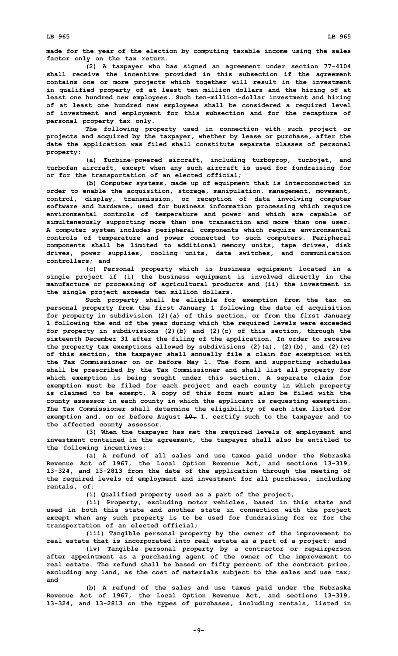**made for the year of the election by computing taxable income using the sales factor only on the tax return.**

**(2) <sup>A</sup> taxpayer who has signed an agreement under section 77-4104 shall receive the incentive provided in this subsection if the agreement contains one or more projects which together will result in the investment in qualified property of at least ten million dollars and the hiring of at least one hundred new employees. Such ten-million-dollar investment and hiring of at least one hundred new employees shall be considered <sup>a</sup> required level of investment and employment for this subsection and for the recapture of personal property tax only.**

**The following property used in connection with such project or projects and acquired by the taxpayer, whether by lease or purchase, after the date the application was filed shall constitute separate classes of personal property:**

**(a) Turbine-powered aircraft, including turboprop, turbojet, and turbofan aircraft, except when any such aircraft is used for fundraising for or for the transportation of an elected official;**

**(b) Computer systems, made up of equipment that is interconnected in order to enable the acquisition, storage, manipulation, management, movement, control, display, transmission, or reception of data involving computer software and hardware, used for business information processing which require environmental controls of temperature and power and which are capable of simultaneously supporting more than one transaction and more than one user. A computer system includes peripheral components which require environmental controls of temperature and power connected to such computers. Peripheral components shall be limited to additional memory units, tape drives, disk drives, power supplies, cooling units, data switches, and communication controllers; and**

**(c) Personal property which is business equipment located in <sup>a</sup> single project if (i) the business equipment is involved directly in the manufacture or processing of agricultural products and (ii) the investment in the single project exceeds ten million dollars.**

**Such property shall be eligible for exemption from the tax on personal property from the first January 1 following the date of acquisition for property in subdivision (2)(a) of this section, or from the first January 1 following the end of the year during which the required levels were exceeded for property in subdivisions (2)(b) and (2)(c) of this section, through the sixteenth December 31 after the filing of the application. In order to receive the property tax exemptions allowed by subdivisions (2)(a), (2)(b), and (2)(c) of this section, the taxpayer shall annually file <sup>a</sup> claim for exemption with the Tax Commissioner on or before May 1. The form and supporting schedules shall be prescribed by the Tax Commissioner and shall list all property for which exemption is being sought under this section. A separate claim for exemption must be filed for each project and each county in which property is claimed to be exempt. A copy of this form must also be filed with the county assessor in each county in which the applicant is requesting exemption. The Tax Commissioner shall determine the eligibility of each item listed for exemption and, on or before August 10, 1, certify such to the taxpayer and to the affected county assessor.**

**(3) When the taxpayer has met the required levels of employment and investment contained in the agreement, the taxpayer shall also be entitled to the following incentives:**

**(a) <sup>A</sup> refund of all sales and use taxes paid under the Nebraska Revenue Act of 1967, the Local Option Revenue Act, and sections 13-319, 13-324, and 13-2813 from the date of the application through the meeting of the required levels of employment and investment for all purchases, including rentals, of:**

**(i) Qualified property used as <sup>a</sup> part of the project;**

**(ii) Property, excluding motor vehicles, based in this state and used in both this state and another state in connection with the project except when any such property is to be used for fundraising for or for the transportation of an elected official;**

**(iii) Tangible personal property by the owner of the improvement to real estate that is incorporated into real estate as <sup>a</sup> part of <sup>a</sup> project; and**

**(iv) Tangible personal property by <sup>a</sup> contractor or repairperson after appointment as <sup>a</sup> purchasing agent of the owner of the improvement to real estate. The refund shall be based on fifty percent of the contract price, excluding any land, as the cost of materials subject to the sales and use tax; and**

**(b) <sup>A</sup> refund of the sales and use taxes paid under the Nebraska Revenue Act of 1967, the Local Option Revenue Act, and sections 13-319, 13-324, and 13-2813 on the types of purchases, including rentals, listed in**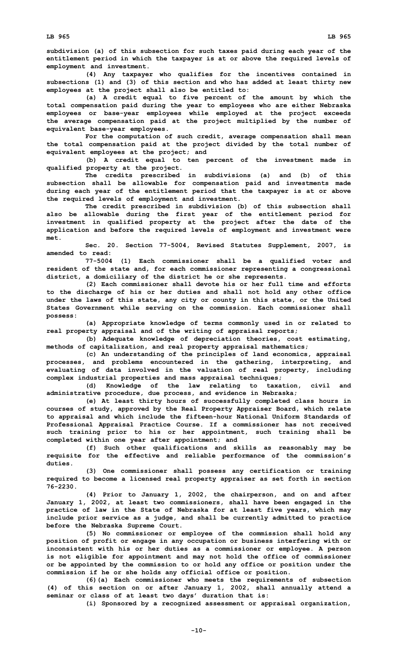**subdivision (a) of this subsection for such taxes paid during each year of the entitlement period in which the taxpayer is at or above the required levels of employment and investment.**

**(4) Any taxpayer who qualifies for the incentives contained in subsections (1) and (3) of this section and who has added at least thirty new employees at the project shall also be entitled to:**

**(a) <sup>A</sup> credit equal to five percent of the amount by which the total compensation paid during the year to employees who are either Nebraska employees or base-year employees while employed at the project exceeds the average compensation paid at the project multiplied by the number of equivalent base-year employees.**

**For the computation of such credit, average compensation shall mean the total compensation paid at the project divided by the total number of equivalent employees at the project; and**

**(b) <sup>A</sup> credit equal to ten percent of the investment made in qualified property at the project.**

**The credits prescribed in subdivisions (a) and (b) of this subsection shall be allowable for compensation paid and investments made during each year of the entitlement period that the taxpayer is at or above the required levels of employment and investment.**

**The credit prescribed in subdivision (b) of this subsection shall also be allowable during the first year of the entitlement period for investment in qualified property at the project after the date of the application and before the required levels of employment and investment were met.**

**Sec. 20. Section 77-5004, Revised Statutes Supplement, 2007, is amended to read:**

**77-5004 (1) Each commissioner shall be <sup>a</sup> qualified voter and resident of the state and, for each commissioner representing <sup>a</sup> congressional district, <sup>a</sup> domiciliary of the district he or she represents.**

**(2) Each commissioner shall devote his or her full time and efforts to the discharge of his or her duties and shall not hold any other office under the laws of this state, any city or county in this state, or the United States Government while serving on the commission. Each commissioner shall possess:**

**(a) Appropriate knowledge of terms commonly used in or related to real property appraisal and of the writing of appraisal reports;**

**(b) Adequate knowledge of depreciation theories, cost estimating, methods of capitalization, and real property appraisal mathematics;**

**(c) An understanding of the principles of land economics, appraisal processes, and problems encountered in the gathering, interpreting, and evaluating of data involved in the valuation of real property, including complex industrial properties and mass appraisal techniques;**

**(d) Knowledge of the law relating to taxation, civil and administrative procedure, due process, and evidence in Nebraska;**

**(e) At least thirty hours of successfully completed class hours in courses of study, approved by the Real Property Appraiser Board, which relate to appraisal and which include the fifteen-hour National Uniform Standards of Professional Appraisal Practice Course. If <sup>a</sup> commissioner has not received such training prior to his or her appointment, such training shall be completed within one year after appointment; and**

**(f) Such other qualifications and skills as reasonably may be requisite for the effective and reliable performance of the commission's duties.**

**(3) One commissioner shall possess any certification or training required to become <sup>a</sup> licensed real property appraiser as set forth in section 76-2230.**

**(4) Prior to January 1, 2002, the chairperson, and on and after January 1, 2002, at least two commissioners, shall have been engaged in the practice of law in the State of Nebraska for at least five years, which may include prior service as <sup>a</sup> judge, and shall be currently admitted to practice before the Nebraska Supreme Court.**

**(5) No commissioner or employee of the commission shall hold any position of profit or engage in any occupation or business interfering with or inconsistent with his or her duties as <sup>a</sup> commissioner or employee. A person is not eligible for appointment and may not hold the office of commissioner or be appointed by the commission to or hold any office or position under the commission if he or she holds any official office or position.**

**(6)(a) Each commissioner who meets the requirements of subsection (4) of this section on or after January 1, 2002, shall annually attend <sup>a</sup> seminar or class of at least two days' duration that is:**

**(i) Sponsored by <sup>a</sup> recognized assessment or appraisal organization,**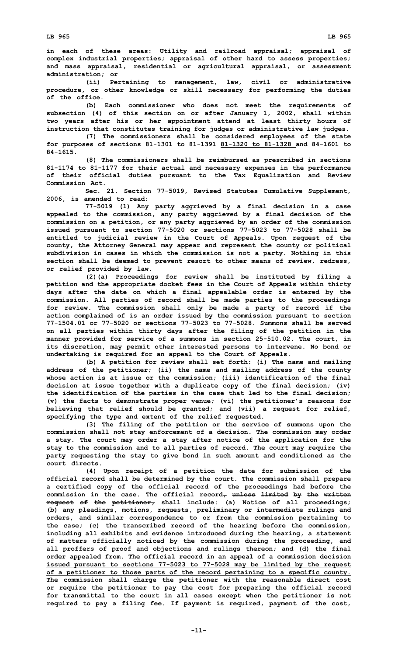**in each of these areas: Utility and railroad appraisal; appraisal of complex industrial properties; appraisal of other hard to assess properties; and mass appraisal, residential or agricultural appraisal, or assessment administration; or**

**(ii) Pertaining to management, law, civil or administrative procedure, or other knowledge or skill necessary for performing the duties of the office.**

**(b) Each commissioner who does not meet the requirements of subsection (4) of this section on or after January 1, 2002, shall within two years after his or her appointment attend at least thirty hours of instruction that constitutes training for judges or administrative law judges.**

**(7) The commissioners shall be considered employees of the state for purposes of sections 81-1301 to 81-1391 81-1320 to 81-1328 and 84-1601 to 84-1615.**

**(8) The commissioners shall be reimbursed as prescribed in sections 81-1174 to 81-1177 for their actual and necessary expenses in the performance of their official duties pursuant to the Tax Equalization and Review Commission Act.**

**Sec. 21. Section 77-5019, Revised Statutes Cumulative Supplement, 2006, is amended to read:**

**77-5019 (1) Any party aggrieved by <sup>a</sup> final decision in <sup>a</sup> case appealed to the commission, any party aggrieved by <sup>a</sup> final decision of the commission on <sup>a</sup> petition, or any party aggrieved by an order of the commission issued pursuant to section 77-5020 or sections 77-5023 to 77-5028 shall be entitled to judicial review in the Court of Appeals. Upon request of the county, the Attorney General may appear and represent the county or political subdivision in cases in which the commission is not <sup>a</sup> party. Nothing in this section shall be deemed to prevent resort to other means of review, redress, or relief provided by law.**

**(2)(a) Proceedings for review shall be instituted by filing <sup>a</sup> petition and the appropriate docket fees in the Court of Appeals within thirty days after the date on which <sup>a</sup> final appealable order is entered by the commission. All parties of record shall be made parties to the proceedings for review. The commission shall only be made <sup>a</sup> party of record if the action complained of is an order issued by the commission pursuant to section 77-1504.01 or 77-5020 or sections 77-5023 to 77-5028. Summons shall be served on all parties within thirty days after the filing of the petition in the manner provided for service of <sup>a</sup> summons in section 25-510.02. The court, in its discretion, may permit other interested persons to intervene. No bond or undertaking is required for an appeal to the Court of Appeals.**

**(b) <sup>A</sup> petition for review shall set forth: (i) The name and mailing address of the petitioner; (ii) the name and mailing address of the county whose action is at issue or the commission; (iii) identification of the final decision at issue together with <sup>a</sup> duplicate copy of the final decision; (iv) the identification of the parties in the case that led to the final decision; (v) the facts to demonstrate proper venue; (vi) the petitioner's reasons for believing that relief should be granted; and (vii) <sup>a</sup> request for relief, specifying the type and extent of the relief requested.**

**(3) The filing of the petition or the service of summons upon the commission shall not stay enforcement of <sup>a</sup> decision. The commission may order <sup>a</sup> stay. The court may order <sup>a</sup> stay after notice of the application for the stay to the commission and to all parties of record. The court may require the party requesting the stay to give bond in such amount and conditioned as the court directs.**

**(4) Upon receipt of <sup>a</sup> petition the date for submission of the official record shall be determined by the court. The commission shall prepare <sup>a</sup> certified copy of the official record of the proceedings had before the commission in the case. The official record, unless limited by the written request of the petitioner, shall include: (a) Notice of all proceedings; (b) any pleadings, motions, requests, preliminary or intermediate rulings and orders, and similar correspondence to or from the commission pertaining to the case; (c) the transcribed record of the hearing before the commission, including all exhibits and evidence introduced during the hearing, <sup>a</sup> statement of matters officially noticed by the commission during the proceeding, and all proffers of proof and objections and rulings thereon; and (d) the final order appealed from. The official record in an appeal of <sup>a</sup> commission decision issued pursuant to sections 77-5023 to 77-5028 may be limited by the request of <sup>a</sup> petitioner to those parts of the record pertaining to <sup>a</sup> specific county. The commission shall charge the petitioner with the reasonable direct cost or require the petitioner to pay the cost for preparing the official record for transmittal to the court in all cases except when the petitioner is not required to pay <sup>a</sup> filing fee. If payment is required, payment of the cost,**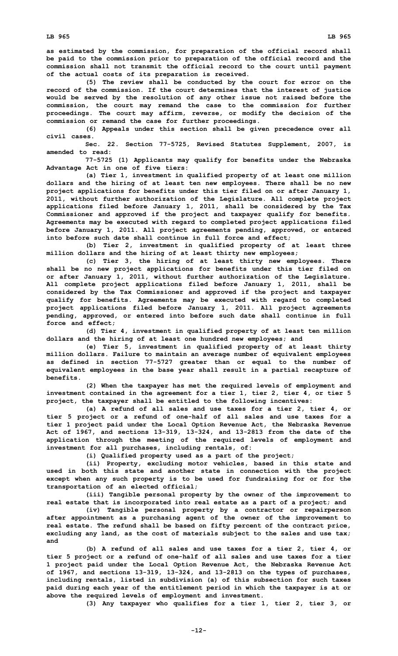**as estimated by the commission, for preparation of the official record shall be paid to the commission prior to preparation of the official record and the commission shall not transmit the official record to the court until payment of the actual costs of its preparation is received.**

**(5) The review shall be conducted by the court for error on the record of the commission. If the court determines that the interest of justice would be served by the resolution of any other issue not raised before the commission, the court may remand the case to the commission for further proceedings. The court may affirm, reverse, or modify the decision of the commission or remand the case for further proceedings.**

**(6) Appeals under this section shall be given precedence over all civil cases.**

**Sec. 22. Section 77-5725, Revised Statutes Supplement, 2007, is amended to read:**

**77-5725 (1) Applicants may qualify for benefits under the Nebraska Advantage Act in one of five tiers:**

**(a) Tier 1, investment in qualified property of at least one million dollars and the hiring of at least ten new employees. There shall be no new project applications for benefits under this tier filed on or after January 1, 2011, without further authorization of the Legislature. All complete project applications filed before January 1, 2011, shall be considered by the Tax Commissioner and approved if the project and taxpayer qualify for benefits. Agreements may be executed with regard to completed project applications filed before January 1, 2011. All project agreements pending, approved, or entered into before such date shall continue in full force and effect;**

**(b) Tier 2, investment in qualified property of at least three million dollars and the hiring of at least thirty new employees;**

**(c) Tier 3, the hiring of at least thirty new employees. There shall be no new project applications for benefits under this tier filed on or after January 1, 2011, without further authorization of the Legislature. All complete project applications filed before January 1, 2011, shall be considered by the Tax Commissioner and approved if the project and taxpayer qualify for benefits. Agreements may be executed with regard to completed project applications filed before January 1, 2011. All project agreements pending, approved, or entered into before such date shall continue in full force and effect;**

**(d) Tier 4, investment in qualified property of at least ten million dollars and the hiring of at least one hundred new employees; and**

**(e) Tier 5, investment in qualified property of at least thirty million dollars. Failure to maintain an average number of equivalent employees as defined in section 77-5727 greater than or equal to the number of equivalent employees in the base year shall result in <sup>a</sup> partial recapture of benefits.**

**(2) When the taxpayer has met the required levels of employment and investment contained in the agreement for <sup>a</sup> tier 1, tier 2, tier 4, or tier 5 project, the taxpayer shall be entitled to the following incentives:**

**(a) A refund of all sales and use taxes for <sup>a</sup> tier 2, tier 4, or tier 5 project or <sup>a</sup> refund of one-half of all sales and use taxes for <sup>a</sup> tier 1 project paid under the Local Option Revenue Act, the Nebraska Revenue Act of 1967, and sections 13-319, 13-324, and 13-2813 from the date of the application through the meeting of the required levels of employment and investment for all purchases, including rentals, of:**

**(i) Qualified property used as <sup>a</sup> part of the project;**

**(ii) Property, excluding motor vehicles, based in this state and used in both this state and another state in connection with the project except when any such property is to be used for fundraising for or for the transportation of an elected official;**

**(iii) Tangible personal property by the owner of the improvement to real estate that is incorporated into real estate as <sup>a</sup> part of <sup>a</sup> project; and**

**(iv) Tangible personal property by <sup>a</sup> contractor or repairperson after appointment as <sup>a</sup> purchasing agent of the owner of the improvement to real estate. The refund shall be based on fifty percent of the contract price, excluding any land, as the cost of materials subject to the sales and use tax; and**

**(b) A refund of all sales and use taxes for <sup>a</sup> tier 2, tier 4, or tier 5 project or <sup>a</sup> refund of one-half of all sales and use taxes for <sup>a</sup> tier 1 project paid under the Local Option Revenue Act, the Nebraska Revenue Act of 1967, and sections 13-319, 13-324, and 13-2813 on the types of purchases, including rentals, listed in subdivision (a) of this subsection for such taxes paid during each year of the entitlement period in which the taxpayer is at or above the required levels of employment and investment.**

**(3) Any taxpayer who qualifies for <sup>a</sup> tier 1, tier 2, tier 3, or**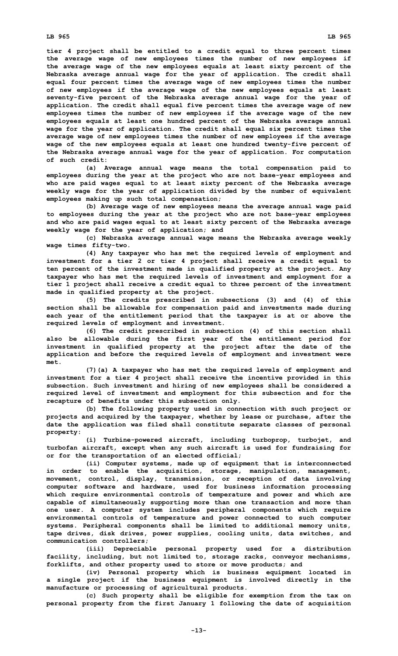**tier 4 project shall be entitled to <sup>a</sup> credit equal to three percent times the average wage of new employees times the number of new employees if the average wage of the new employees equals at least sixty percent of the Nebraska average annual wage for the year of application. The credit shall equal four percent times the average wage of new employees times the number of new employees if the average wage of the new employees equals at least seventy-five percent of the Nebraska average annual wage for the year of application. The credit shall equal five percent times the average wage of new employees times the number of new employees if the average wage of the new employees equals at least one hundred percent of the Nebraska average annual wage for the year of application. The credit shall equal six percent times the average wage of new employees times the number of new employees if the average wage of the new employees equals at least one hundred twenty-five percent of the Nebraska average annual wage for the year of application. For computation of such credit:**

**(a) Average annual wage means the total compensation paid to employees during the year at the project who are not base-year employees and who are paid wages equal to at least sixty percent of the Nebraska average weekly wage for the year of application divided by the number of equivalent employees making up such total compensation;**

**(b) Average wage of new employees means the average annual wage paid to employees during the year at the project who are not base-year employees and who are paid wages equal to at least sixty percent of the Nebraska average weekly wage for the year of application; and**

**(c) Nebraska average annual wage means the Nebraska average weekly wage times fifty-two.**

**(4) Any taxpayer who has met the required levels of employment and investment for <sup>a</sup> tier 2 or tier 4 project shall receive <sup>a</sup> credit equal to ten percent of the investment made in qualified property at the project. Any taxpayer who has met the required levels of investment and employment for <sup>a</sup> tier 1 project shall receive <sup>a</sup> credit equal to three percent of the investment made in qualified property at the project.**

**(5) The credits prescribed in subsections (3) and (4) of this section shall be allowable for compensation paid and investments made during each year of the entitlement period that the taxpayer is at or above the required levels of employment and investment.**

**(6) The credit prescribed in subsection (4) of this section shall also be allowable during the first year of the entitlement period for investment in qualified property at the project after the date of the application and before the required levels of employment and investment were met.**

**(7)(a) <sup>A</sup> taxpayer who has met the required levels of employment and investment for <sup>a</sup> tier 4 project shall receive the incentive provided in this subsection. Such investment and hiring of new employees shall be considered <sup>a</sup> required level of investment and employment for this subsection and for the recapture of benefits under this subsection only.**

**(b) The following property used in connection with such project or projects and acquired by the taxpayer, whether by lease or purchase, after the date the application was filed shall constitute separate classes of personal property:**

**(i) Turbine-powered aircraft, including turboprop, turbojet, and turbofan aircraft, except when any such aircraft is used for fundraising for or for the transportation of an elected official;**

**(ii) Computer systems, made up of equipment that is interconnected in order to enable the acquisition, storage, manipulation, management, movement, control, display, transmission, or reception of data involving computer software and hardware, used for business information processing which require environmental controls of temperature and power and which are capable of simultaneously supporting more than one transaction and more than one user. A computer system includes peripheral components which require environmental controls of temperature and power connected to such computer systems. Peripheral components shall be limited to additional memory units, tape drives, disk drives, power supplies, cooling units, data switches, and communication controllers;**

**(iii) Depreciable personal property used for <sup>a</sup> distribution facility, including, but not limited to, storage racks, conveyor mechanisms, forklifts, and other property used to store or move products; and**

**(iv) Personal property which is business equipment located in <sup>a</sup> single project if the business equipment is involved directly in the manufacture or processing of agricultural products.**

**(c) Such property shall be eligible for exemption from the tax on personal property from the first January 1 following the date of acquisition**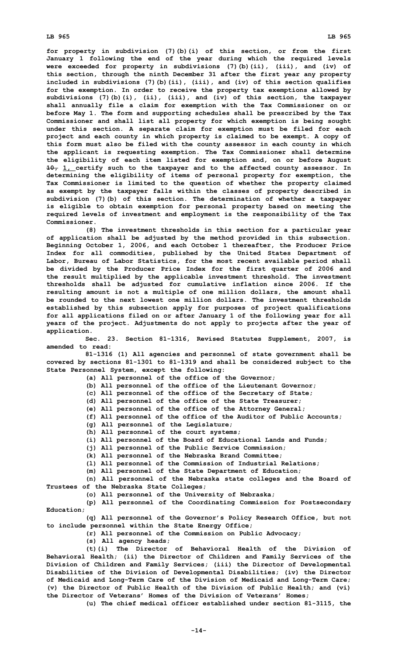**for property in subdivision (7)(b)(i) of this section, or from the first January 1 following the end of the year during which the required levels were exceeded for property in subdivisions (7)(b)(ii), (iii), and (iv) of this section, through the ninth December 31 after the first year any property included in subdivisions (7)(b)(ii), (iii), and (iv) of this section qualifies for the exemption. In order to receive the property tax exemptions allowed by subdivisions (7)(b)(i), (ii), (iii), and (iv) of this section, the taxpayer shall annually file <sup>a</sup> claim for exemption with the Tax Commissioner on or before May 1. The form and supporting schedules shall be prescribed by the Tax Commissioner and shall list all property for which exemption is being sought under this section. A separate claim for exemption must be filed for each project and each county in which property is claimed to be exempt. A copy of this form must also be filed with the county assessor in each county in which the applicant is requesting exemption. The Tax Commissioner shall determine the eligibility of each item listed for exemption and, on or before August 10, 1, certify such to the taxpayer and to the affected county assessor. In determining the eligibility of items of personal property for exemption, the Tax Commissioner is limited to the question of whether the property claimed as exempt by the taxpayer falls within the classes of property described in subdivision (7)(b) of this section. The determination of whether <sup>a</sup> taxpayer is eligible to obtain exemption for personal property based on meeting the required levels of investment and employment is the responsibility of the Tax Commissioner.**

**(8) The investment thresholds in this section for <sup>a</sup> particular year of application shall be adjusted by the method provided in this subsection. Beginning October 1, 2006, and each October 1 thereafter, the Producer Price Index for all commodities, published by the United States Department of Labor, Bureau of Labor Statistics, for the most recent available period shall be divided by the Producer Price Index for the first quarter of 2006 and the result multiplied by the applicable investment threshold. The investment thresholds shall be adjusted for cumulative inflation since 2006. If the resulting amount is not <sup>a</sup> multiple of one million dollars, the amount shall be rounded to the next lowest one million dollars. The investment thresholds established by this subsection apply for purposes of project qualifications for all applications filed on or after January 1 of the following year for all years of the project. Adjustments do not apply to projects after the year of application.**

**Sec. 23. Section 81-1316, Revised Statutes Supplement, 2007, is amended to read:**

**81-1316 (1) All agencies and personnel of state government shall be covered by sections 81-1301 to 81-1319 and shall be considered subject to the State Personnel System, except the following:**

**(a) All personnel of the office of the Governor;**

**(b) All personnel of the office of the Lieutenant Governor;**

**(c) All personnel of the office of the Secretary of State;**

**(d) All personnel of the office of the State Treasurer;**

**(e) All personnel of the office of the Attorney General;**

**(f) All personnel of the office of the Auditor of Public Accounts;**

**(g) All personnel of the Legislature;**

**(h) All personnel of the court systems;**

**(i) All personnel of the Board of Educational Lands and Funds;**

**(j) All personnel of the Public Service Commission;**

**(k) All personnel of the Nebraska Brand Committee;**

**(l) All personnel of the Commission of Industrial Relations;**

**(m) All personnel of the State Department of Education;**

**(n) All personnel of the Nebraska state colleges and the Board of Trustees of the Nebraska State Colleges;**

**(o) All personnel of the University of Nebraska;**

**(p) All personnel of the Coordinating Commission for Postsecondary Education;**

**(q) All personnel of the Governor's Policy Research Office, but not to include personnel within the State Energy Office;**

**(r) All personnel of the Commission on Public Advocacy;**

**(s) All agency heads;**

**(t)(i) The Director of Behavioral Health of the Division of Behavioral Health; (ii) the Director of Children and Family Services of the Division of Children and Family Services; (iii) the Director of Developmental Disabilities of the Division of Developmental Disabilities; (iv) the Director of Medicaid and Long-Term Care of the Division of Medicaid and Long-Term Care; (v) the Director of Public Health of the Division of Public Health; and (vi) the Director of Veterans' Homes of the Division of Veterans' Homes;**

**(u) The chief medical officer established under section 81-3115, the**